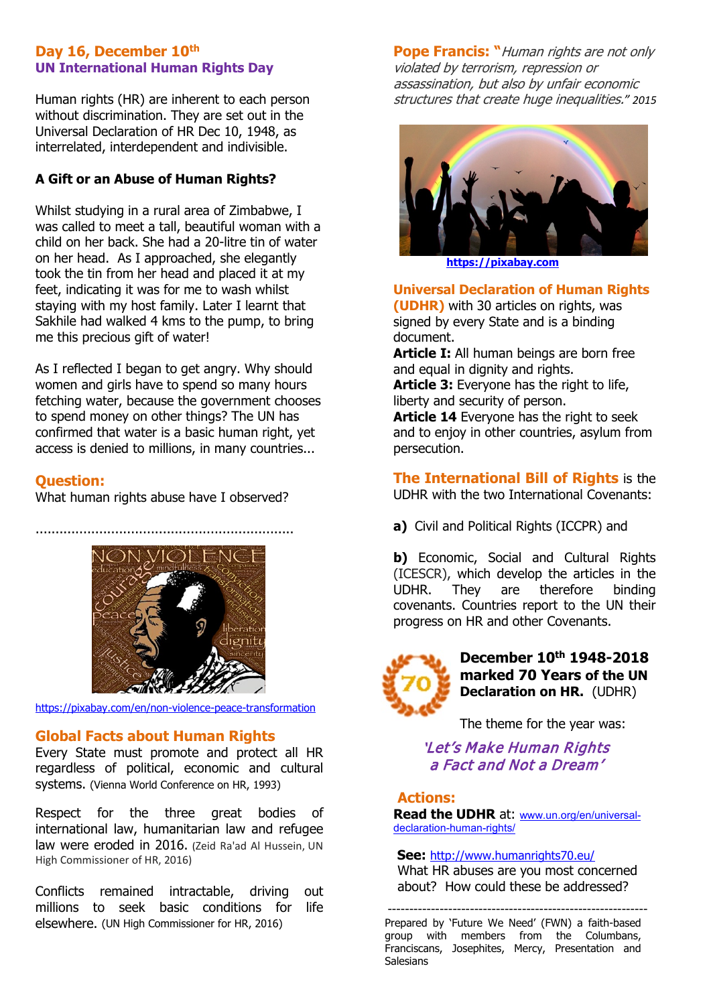### **Day 16, December 10th UN International Human Rights Day**

Human rights (HR) are inherent to each person without discrimination. They are set out in the Universal Declaration of HR Dec 10, 1948, as interrelated, interdependent and indivisible.

### **A Gift or an Abuse of Human Rights?**

Whilst studying in a rural area of Zimbabwe, I was called to meet a tall, beautiful woman with a child on her back. She had a 20-litre tin of water on her head. As I approached, she elegantly took the tin from her head and placed it at my feet, indicating it was for me to wash whilst staying with my host family. Later I learnt that Sakhile had walked 4 kms to the pump, to bring me this precious gift of water!

As I reflected I began to get angry. Why should women and girls have to spend so many hours fetching water, because the government chooses to spend money on other things? The UN has confirmed that water is a basic human right, yet access is denied to millions, in many countries...

### **Question:**

What human rights abuse have I observed?



<https://pixabay.com/en/non-violence-peace-transformation>

## **Global Facts about Human Rights**

Every State must promote and protect all HR regardless of political, economic and cultural systems. (Vienna World Conference on HR, 1993)

Respect for the three great bodies of international law, humanitarian law and refugee law were eroded in 2016. (Zeid Ra'ad Al Hussein, UN High Commissioner of HR, 2016)

Conflicts remained intractable, driving out millions to seek basic conditions for life elsewhere. (UN High Commissioner for HR, 2016)

**Pope Francis:** "Human rights are not only [violated by terrorism, repression or](http://www.azquotes.com/quote/101141)  [assassination, but also by unfair economic](http://www.azquotes.com/quote/101141)  [structures that create huge inequalities.](http://www.azquotes.com/quote/101141)*" 2015*



 **[https://pixabay.com](https://pixabay.com/)**

**Universal Declaration of Human Rights (UDHR)** with 30 articles on rights, was signed by every State and is a binding document.

**Article I:** All human beings are born free and equal in dignity and rights.

**Article 3:** Everyone has the right to life, liberty and security of person.

**Article 14** Everyone has the right to seek and to enjoy in other countries, asylum from persecution.

**The International Bill of Rights** is the UDHR with the two International Covenants:

**a)** Civil and Political Rights (ICCPR) and

**b)** Economic, Social and Cultural Rights (ICESCR), which develop the articles in the UDHR. They are therefore binding covenants. Countries report to the UN their progress on HR and other Covenants.



**December 10th 1948-2018 marked 70 Years of the UN Declaration on HR.** (UDHR)

The theme for the year was:

'Let's Make Human Rights a Fact and Not a Dream'

## **Actions:**

**Read the UDHR** at: [www.un.org/en/universal](http://www.un.org/en/universal-declaration-human-rights/)[declaration-human-rights/](http://www.un.org/en/universal-declaration-human-rights/)

**See:** <http://www.humanrights70.eu/> What HR abuses are you most concerned about? How could these be addressed?

 ------------------------------------------------------------ Prepared by 'Future We Need' (FWN) a faith-based group with members from the Columbans, Franciscans, Josephites, Mercy, Presentation and Salesians